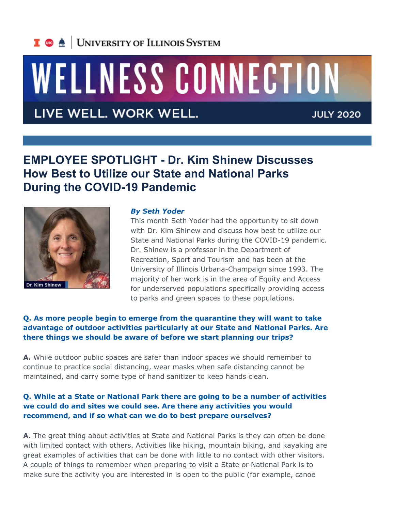## I **C**  $\triangle$  UNIVERSITY OF ILLINOIS SYSTEM

# WELLNESS CONNECTION

## LIVE WELL. WORK WELL.

**JULY 2020** 

### **EMPLOYEE SPOTLIGHT - Dr. Kim Shinew Discusses How Best to Utilize our State and National Parks During the COVID-19 Pandemic**



#### *By Seth Yoder*

This month Seth Yoder had the opportunity to sit down with Dr. Kim Shinew and discuss how best to utilize our State and National Parks during the COVID-19 pandemic. Dr. Shinew is a professor in the Department of Recreation, Sport and Tourism and has been at the University of Illinois Urbana-Champaign since 1993. The majority of her work is in the area of Equity and Access for underserved populations specifically providing access to parks and green spaces to these populations.

#### **Q. As more people begin to emerge from the quarantine they will want to take advantage of outdoor activities particularly at our State and National Parks. Are there things we should be aware of before we start planning our trips?**

**A.** While outdoor public spaces are safer than indoor spaces we should remember to continue to practice social distancing, wear masks when safe distancing cannot be maintained, and carry some type of hand sanitizer to keep hands clean.

#### **Q. While at a State or National Park there are going to be a number of activities we could do and sites we could see. Are there any activities you would recommend, and if so what can we do to best prepare ourselves?**

**A.** The great thing about activities at State and National Parks is they can often be done with limited contact with others. Activities like hiking, mountain biking, and kayaking are great examples of activities that can be done with little to no contact with other visitors. A couple of things to remember when preparing to visit a State or National Park is to make sure the activity you are interested in is open to the public (for example, canoe